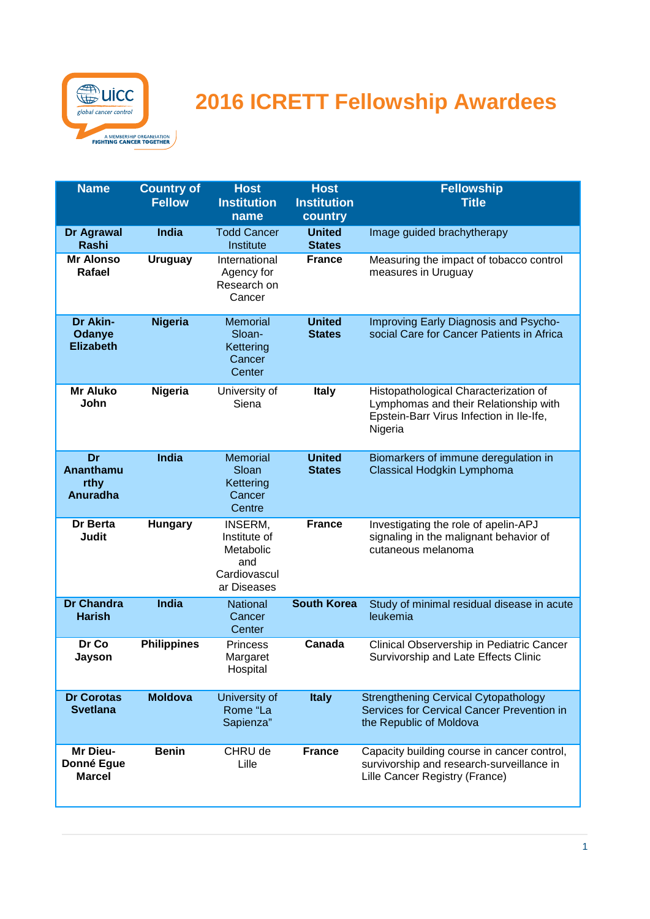

## **2016 ICRETT Fellowship Awardees**

| <b>Name</b>                                | <b>Country of</b><br><b>Fellow</b> | <b>Host</b><br><b>Institution</b><br>name                                  | <b>Host</b><br><b>Institution</b><br>country | <b>Fellowship</b><br><b>Title</b>                                                                                                     |
|--------------------------------------------|------------------------------------|----------------------------------------------------------------------------|----------------------------------------------|---------------------------------------------------------------------------------------------------------------------------------------|
| Dr Agrawal<br><b>Rashi</b>                 | <b>India</b>                       | <b>Todd Cancer</b><br>Institute                                            | <b>United</b><br><b>States</b>               | Image guided brachytherapy                                                                                                            |
| <b>Mr Alonso</b><br>Rafael                 | <b>Uruguay</b>                     | International<br>Agency for<br>Research on<br>Cancer                       | <b>France</b>                                | Measuring the impact of tobacco control<br>measures in Uruguay                                                                        |
| Dr Akin-<br>Odanye<br><b>Elizabeth</b>     | <b>Nigeria</b>                     | <b>Memorial</b><br>Sloan-<br>Kettering<br>Cancer<br>Center                 | <b>United</b><br><b>States</b>               | Improving Early Diagnosis and Psycho-<br>social Care for Cancer Patients in Africa                                                    |
| <b>Mr Aluko</b><br>John                    | Nigeria                            | University of<br>Siena                                                     | <b>Italy</b>                                 | Histopathological Characterization of<br>Lymphomas and their Relationship with<br>Epstein-Barr Virus Infection in Ile-Ife,<br>Nigeria |
| Dr<br>Ananthamu<br>rthy<br><b>Anuradha</b> | <b>India</b>                       | <b>Memorial</b><br>Sloan<br>Kettering<br>Cancer<br>Centre                  | <b>United</b><br><b>States</b>               | Biomarkers of immune deregulation in<br>Classical Hodgkin Lymphoma                                                                    |
| Dr Berta<br>Judit                          | <b>Hungary</b>                     | INSERM,<br>Institute of<br>Metabolic<br>and<br>Cardiovascul<br>ar Diseases | <b>France</b>                                | Investigating the role of apelin-APJ<br>signaling in the malignant behavior of<br>cutaneous melanoma                                  |
| <b>Dr Chandra</b><br><b>Harish</b>         | <b>India</b>                       | National<br>Cancer<br>Center                                               | <b>South Korea</b>                           | Study of minimal residual disease in acute<br>leukemia                                                                                |
| Dr Co<br>Jayson                            | <b>Philippines</b>                 | <b>Princess</b><br>Margaret<br>Hospital                                    | Canada                                       | Clinical Observership in Pediatric Cancer<br>Survivorship and Late Effects Clinic                                                     |
| <b>Dr Corotas</b><br><b>Svetlana</b>       | <b>Moldova</b>                     | University of<br>Rome "La<br>Sapienza"                                     | <b>Italy</b>                                 | <b>Strengthening Cervical Cytopathology</b><br>Services for Cervical Cancer Prevention in<br>the Republic of Moldova                  |
| Mr Dieu-<br>Donné Egue<br><b>Marcel</b>    | <b>Benin</b>                       | CHRU de<br>Lille                                                           | <b>France</b>                                | Capacity building course in cancer control,<br>survivorship and research-surveillance in<br>Lille Cancer Registry (France)            |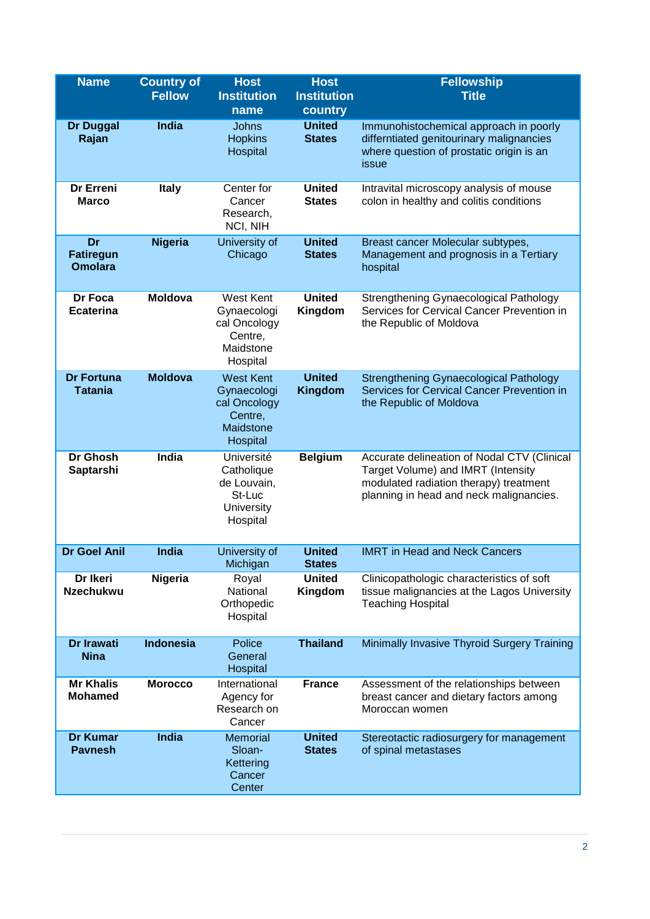| <b>Name</b>                              | <b>Country of</b><br><b>Fellow</b> | <b>Host</b><br><b>Institution</b><br>name                                           | <b>Host</b><br><b>Institution</b><br>country | <b>Fellowship</b><br><b>Title</b>                                                                                                                                      |
|------------------------------------------|------------------------------------|-------------------------------------------------------------------------------------|----------------------------------------------|------------------------------------------------------------------------------------------------------------------------------------------------------------------------|
| <b>Dr Duggal</b><br>Rajan                | <b>India</b>                       | Johns<br><b>Hopkins</b><br>Hospital                                                 | <b>United</b><br><b>States</b>               | Immunohistochemical approach in poorly<br>differntiated genitourinary malignancies<br>where question of prostatic origin is an<br>issue                                |
| Dr Erreni<br><b>Marco</b>                | <b>Italy</b>                       | Center for<br>Cancer<br>Research,<br>NCI, NIH                                       | <b>United</b><br><b>States</b>               | Intravital microscopy analysis of mouse<br>colon in healthy and colitis conditions                                                                                     |
| Dr<br><b>Fatiregun</b><br><b>Omolara</b> | <b>Nigeria</b>                     | University of<br>Chicago                                                            | <b>United</b><br><b>States</b>               | Breast cancer Molecular subtypes,<br>Management and prognosis in a Tertiary<br>hospital                                                                                |
| Dr Foca<br><b>Ecaterina</b>              | <b>Moldova</b>                     | West Kent<br>Gynaecologi<br>cal Oncology<br>Centre,<br>Maidstone<br>Hospital        | <b>United</b><br>Kingdom                     | Strengthening Gynaecological Pathology<br>Services for Cervical Cancer Prevention in<br>the Republic of Moldova                                                        |
| <b>Dr Fortuna</b><br><b>Tatania</b>      | <b>Moldova</b>                     | <b>West Kent</b><br>Gynaecologi<br>cal Oncology<br>Centre,<br>Maidstone<br>Hospital | <b>United</b><br>Kingdom                     | <b>Strengthening Gynaecological Pathology</b><br>Services for Cervical Cancer Prevention in<br>the Republic of Moldova                                                 |
| <b>Dr Ghosh</b><br>Saptarshi             | <b>India</b>                       | Université<br>Catholique<br>de Louvain,<br>St-Luc<br><b>University</b><br>Hospital  | <b>Belgium</b>                               | Accurate delineation of Nodal CTV (Clinical<br>Target Volume) and IMRT (Intensity<br>modulated radiation therapy) treatment<br>planning in head and neck malignancies. |
| <b>Dr Goel Anil</b>                      | India                              | University of<br>Michigan                                                           | <b>United</b><br><b>States</b>               | <b>IMRT</b> in Head and Neck Cancers                                                                                                                                   |
| Dr Ikeri<br><b>Nzechukwu</b>             | Nigeria                            | Royal<br>National<br>Orthopedic<br>Hospital                                         | <b>United</b><br>Kingdom                     | Clinicopathologic characteristics of soft<br>tissue malignancies at the Lagos University<br><b>Teaching Hospital</b>                                                   |
| <b>Dr Irawati</b><br><b>Nina</b>         | <b>Indonesia</b>                   | Police<br>General<br>Hospital                                                       | <b>Thailand</b>                              | Minimally Invasive Thyroid Surgery Training                                                                                                                            |
| <b>Mr Khalis</b><br><b>Mohamed</b>       | <b>Morocco</b>                     | International<br>Agency for<br>Research on<br>Cancer                                | <b>France</b>                                | Assessment of the relationships between<br>breast cancer and dietary factors among<br>Moroccan women                                                                   |
| <b>Dr Kumar</b><br><b>Pavnesh</b>        | India                              | <b>Memorial</b><br>Sloan-<br>Kettering<br>Cancer<br>Center                          | <b>United</b><br><b>States</b>               | Stereotactic radiosurgery for management<br>of spinal metastases                                                                                                       |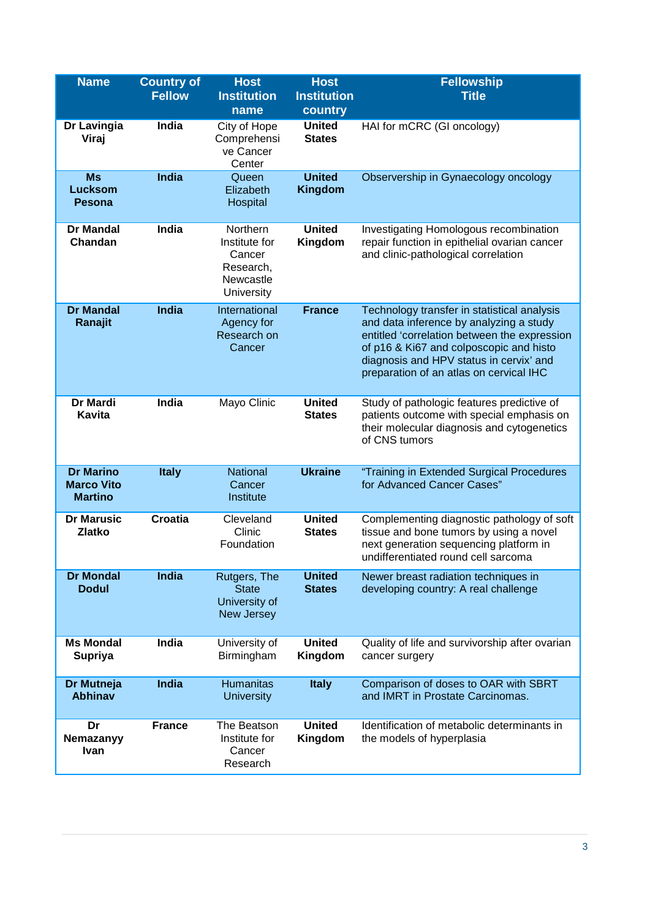| <b>Name</b>                                             | <b>Country of</b><br><b>Fellow</b> | <b>Host</b><br><b>Institution</b><br>name                                   | <b>Host</b><br><b>Institution</b><br>country | <b>Fellowship</b><br><b>Title</b>                                                                                                                                                                                                                                       |
|---------------------------------------------------------|------------------------------------|-----------------------------------------------------------------------------|----------------------------------------------|-------------------------------------------------------------------------------------------------------------------------------------------------------------------------------------------------------------------------------------------------------------------------|
| Dr Lavingia<br>Viraj                                    | India                              | City of Hope<br>Comprehensi<br>ve Cancer<br>Center                          | <b>United</b><br><b>States</b>               | HAI for mCRC (GI oncology)                                                                                                                                                                                                                                              |
| <b>Ms</b><br><b>Lucksom</b><br><b>Pesona</b>            | <b>India</b>                       | Queen<br>Elizabeth<br>Hospital                                              | <b>United</b><br>Kingdom                     | Observership in Gynaecology oncology                                                                                                                                                                                                                                    |
| <b>Dr Mandal</b><br>Chandan                             | India                              | Northern<br>Institute for<br>Cancer<br>Research,<br>Newcastle<br>University | <b>United</b><br>Kingdom                     | Investigating Homologous recombination<br>repair function in epithelial ovarian cancer<br>and clinic-pathological correlation                                                                                                                                           |
| <b>Dr Mandal</b><br>Ranajit                             | <b>India</b>                       | International<br>Agency for<br>Research on<br>Cancer                        | <b>France</b>                                | Technology transfer in statistical analysis<br>and data inference by analyzing a study<br>entitled 'correlation between the expression<br>of p16 & Ki67 and colposcopic and histo<br>diagnosis and HPV status in cervix' and<br>preparation of an atlas on cervical IHC |
| Dr Mardi<br><b>Kavita</b>                               | India                              | Mayo Clinic                                                                 | <b>United</b><br><b>States</b>               | Study of pathologic features predictive of<br>patients outcome with special emphasis on<br>their molecular diagnosis and cytogenetics<br>of CNS tumors                                                                                                                  |
| <b>Dr Marino</b><br><b>Marco Vito</b><br><b>Martino</b> | <b>Italy</b>                       | National<br>Cancer<br>Institute                                             | <b>Ukraine</b>                               | "Training in Extended Surgical Procedures<br>for Advanced Cancer Cases"                                                                                                                                                                                                 |
| <b>Dr Marusic</b><br><b>Zlatko</b>                      | <b>Croatia</b>                     | Cleveland<br>Clinic<br>Foundation                                           | <b>United</b><br><b>States</b>               | Complementing diagnostic pathology of soft<br>tissue and bone tumors by using a novel<br>next generation sequencing platform in<br>undifferentiated round cell sarcoma                                                                                                  |
| <b>Dr Mondal</b><br><b>Dodul</b>                        | <b>India</b>                       | Rutgers, The<br><b>State</b><br>University of<br><b>New Jersey</b>          | <b>United</b><br><b>States</b>               | Newer breast radiation techniques in<br>developing country: A real challenge                                                                                                                                                                                            |
| <b>Ms Mondal</b><br><b>Supriya</b>                      | India                              | University of<br>Birmingham                                                 | <b>United</b><br>Kingdom                     | Quality of life and survivorship after ovarian<br>cancer surgery                                                                                                                                                                                                        |
| Dr Mutneja<br><b>Abhinav</b>                            | India                              | <b>Humanitas</b><br><b>University</b>                                       | <b>Italy</b>                                 | Comparison of doses to OAR with SBRT<br>and IMRT in Prostate Carcinomas.                                                                                                                                                                                                |
| Dr<br>Nemazanyy<br><b>Ivan</b>                          | <b>France</b>                      | The Beatson<br>Institute for<br>Cancer<br>Research                          | <b>United</b><br>Kingdom                     | Identification of metabolic determinants in<br>the models of hyperplasia                                                                                                                                                                                                |